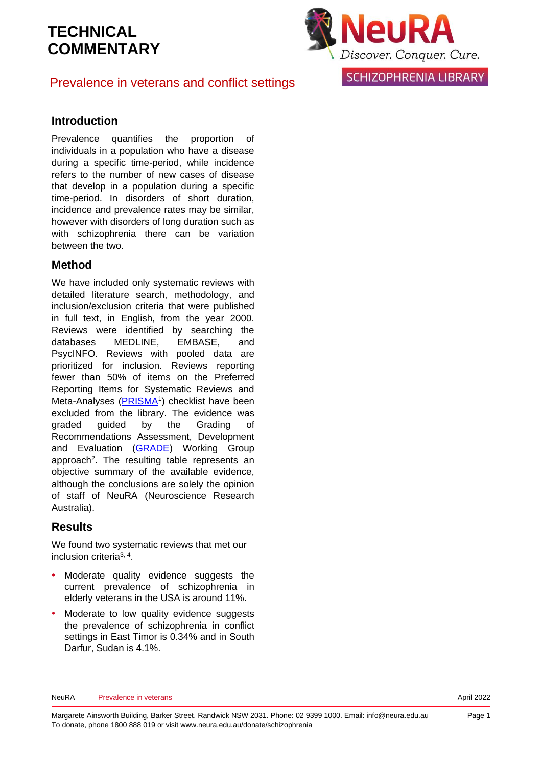

Prevalence in veterans and conflict settings

**SCHIZOPHRENIA LIBRARY** 

#### **Introduction**

Prevalence quantifies the proportion of individuals in a population who have a disease during a specific time-period, while incidence refers to the number of new cases of disease that develop in a population during a specific time-period. In disorders of short duration, incidence and prevalence rates may be similar, however with disorders of long duration such as with schizophrenia there can be variation between the two.

#### **Method**

We have included only systematic reviews with detailed literature search, methodology, and inclusion/exclusion criteria that were published in full text, in English, from the year 2000. Reviews were identified by searching the databases MEDLINE, EMBASE, and PsycINFO. Reviews with pooled data are prioritized for inclusion. Reviews reporting fewer than 50% of items on the Preferred Reporting Items for Systematic Reviews and Meta-Analyses [\(PRISMA](http://www.prisma-statement.org/)<sup>[1](#page-5-0)</sup>) checklist have been excluded from the library. The evidence was graded guided by the Grading of Recommendations Assessment, Development and Evaluation [\(GRADE\)](http://www.gradeworkinggroup.org/) Working Group approach<sup>2</sup>[.](#page-5-1) The resulting table represents an objective summary of the available evidence, although the conclusions are solely the opinion of staff of NeuRA (Neuroscience Research Australia).

#### **Results**

We found two systematic reviews that met our inclusion criteria[3,](#page-5-2) [4](#page-5-3) .

- Moderate quality evidence suggests the current prevalence of schizophrenia in elderly veterans in the USA is around 11%.
- Moderate to low quality evidence suggests the prevalence of schizophrenia in conflict settings in East Timor is 0.34% and in South Darfur, Sudan is 4.1%.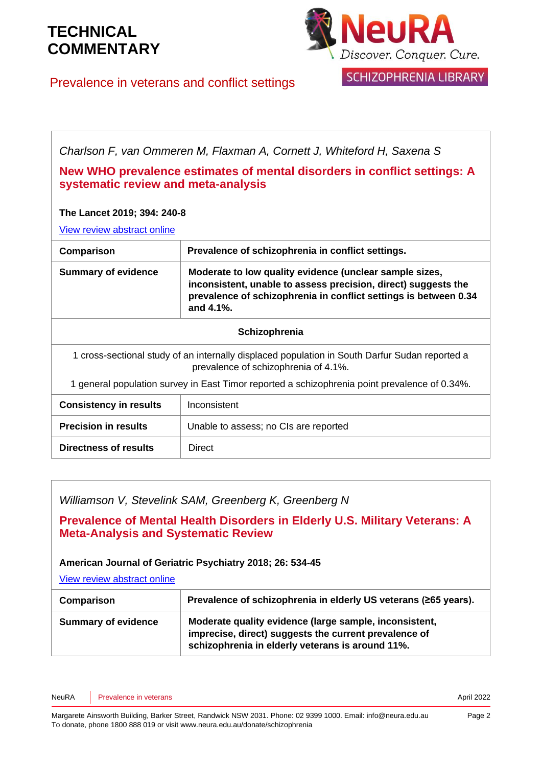

SCHIZOPHRENIA LIBRARY

Prevalence in veterans and conflict settings

*Charlson F, van Ommeren M, Flaxman A, Cornett J, Whiteford H, Saxena S*

#### **New WHO prevalence estimates of mental disorders in conflict settings: A systematic review and meta-analysis**

#### **The Lancet 2019; 394: 240-8**

[View review abstract online](https://www.thelancet.com/journals/lancet/article/PIIS0140-6736(19)30934-1/fulltext) 

| Comparison                                                                                                                             | Prevalence of schizophrenia in conflict settings.                                                                                                                                                              |  |  |  |
|----------------------------------------------------------------------------------------------------------------------------------------|----------------------------------------------------------------------------------------------------------------------------------------------------------------------------------------------------------------|--|--|--|
| <b>Summary of evidence</b>                                                                                                             | Moderate to low quality evidence (unclear sample sizes,<br>inconsistent, unable to assess precision, direct) suggests the<br>prevalence of schizophrenia in conflict settings is between 0.34<br>and $4.1\%$ . |  |  |  |
| Schizophrenia                                                                                                                          |                                                                                                                                                                                                                |  |  |  |
| 1 cross-sectional study of an internally displaced population in South Darfur Sudan reported a<br>prevalence of schizophrenia of 4.1%. |                                                                                                                                                                                                                |  |  |  |
| 1 general population survey in East Timor reported a schizophrenia point prevalence of 0.34%.                                          |                                                                                                                                                                                                                |  |  |  |
| <b>Consistency in results</b>                                                                                                          | Inconsistent                                                                                                                                                                                                   |  |  |  |
| <b>Precision in results</b>                                                                                                            | Unable to assess; no CIs are reported                                                                                                                                                                          |  |  |  |
| Directness of results                                                                                                                  | Direct                                                                                                                                                                                                         |  |  |  |

|  | Williamson V, Stevelink SAM, Greenberg K, Greenberg N |  |
|--|-------------------------------------------------------|--|
|  |                                                       |  |

**Prevalence of Mental Health Disorders in Elderly U.S. Military Veterans: A Meta-Analysis and Systematic Review**

#### **American Journal of Geriatric Psychiatry 2018; 26: 534-45**

[View review abstract online](https://www.ncbi.nlm.nih.gov/pubmed/29221697) 

| Comparison                 | Prevalence of schizophrenia in elderly US veterans (≥65 years).                                                                                                     |  |  |  |
|----------------------------|---------------------------------------------------------------------------------------------------------------------------------------------------------------------|--|--|--|
| <b>Summary of evidence</b> | Moderate quality evidence (large sample, inconsistent,<br>imprecise, direct) suggests the current prevalence of<br>schizophrenia in elderly veterans is around 11%. |  |  |  |

NeuRA Prevalence in veterans **April 2022**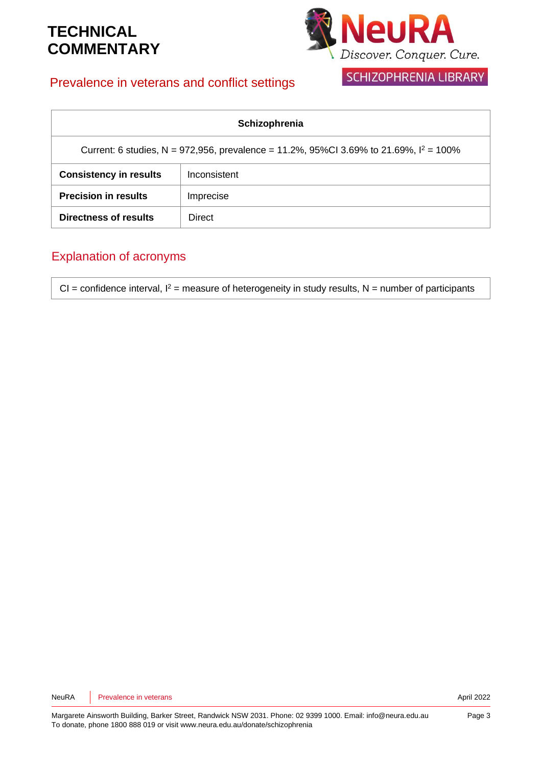

SCHIZOPHRENIA LIBRARY

### Prevalence in veterans and conflict settings

| Schizophrenia                                                                            |              |  |  |  |
|------------------------------------------------------------------------------------------|--------------|--|--|--|
| Current: 6 studies, N = 972,956, prevalence = 11.2%, 95%Cl 3.69% to 21.69%, $I^2$ = 100% |              |  |  |  |
| <b>Consistency in results</b>                                                            | Inconsistent |  |  |  |
| <b>Precision in results</b>                                                              | Imprecise    |  |  |  |
| Directness of results                                                                    | Direct       |  |  |  |

### Explanation of acronyms

CI = confidence interval,  $I^2$  = measure of heterogeneity in study results, N = number of participants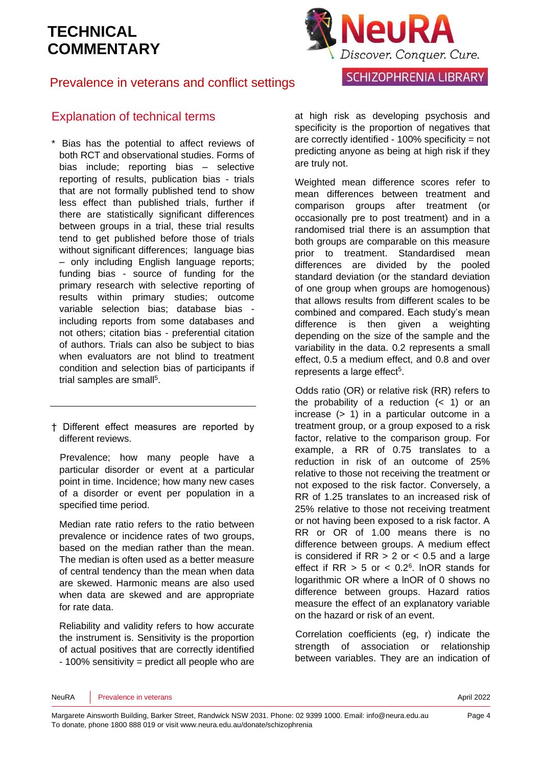

### Prevalence in veterans and conflict settings

### Explanation of technical terms

\* Bias has the potential to affect reviews of both RCT and observational studies. Forms of bias include; reporting bias – selective reporting of results, publication bias - trials that are not formally published tend to show less effect than published trials, further if there are statistically significant differences between groups in a trial, these trial results tend to get published before those of trials without significant differences: language bias – only including English language reports; funding bias - source of funding for the primary research with selective reporting of results within primary studies; outcome variable selection bias; database bias including reports from some databases and not others; citation bias - preferential citation of authors. Trials can also be subject to bias when evaluators are not blind to treatment condition and selection bias of participants if trial samples are sma[ll](#page-5-4)<sup>5</sup>.

† Different effect measures are reported by different reviews.

Prevalence; how many people have a particular disorder or event at a particular point in time. Incidence; how many new cases of a disorder or event per population in a specified time period.

Median rate ratio refers to the ratio between prevalence or incidence rates of two groups, based on the median rather than the mean. The median is often used as a better measure of central tendency than the mean when data are skewed. Harmonic means are also used when data are skewed and are appropriate for rate data.

Reliability and validity refers to how accurate the instrument is. Sensitivity is the proportion of actual positives that are correctly identified - 100% sensitivity = predict all people who are at high risk as developing psychosis and specificity is the proportion of negatives that are correctly identified - 100% specificity = not predicting anyone as being at high risk if they are truly not.

Weighted mean difference scores refer to mean differences between treatment and comparison groups after treatment (or occasionally pre to post treatment) and in a randomised trial there is an assumption that both groups are comparable on this measure prior to treatment. Standardised mean differences are divided by the pooled standard deviation (or the standard deviation of one group when groups are homogenous) that allows results from different scales to be combined and compared. Each study's mean difference is then given a weighting depending on the size of the sample and the variability in the data. 0.2 represents a small effect, 0.5 a medium effect, and 0.8 and over represents a large effect<sup>[5](#page-5-4)</sup>.

Odds ratio (OR) or relative risk (RR) refers to the probability of a reduction  $($  1) or an increase (> 1) in a particular outcome in a treatment group, or a group exposed to a risk factor, relative to the comparison group. For example, a RR of 0.75 translates to a reduction in risk of an outcome of 25% relative to those not receiving the treatment or not exposed to the risk factor. Conversely, a RR of 1.25 translates to an increased risk of 25% relative to those not receiving treatment or not having been exposed to a risk factor. A RR or OR of 1.00 means there is no difference between groups. A medium effect is considered if  $RR > 2$  or  $< 0.5$  and a large effect if  $RR > 5$  or  $< 0.2<sup>6</sup>$  $< 0.2<sup>6</sup>$  $< 0.2<sup>6</sup>$ . InOR stands for logarithmic OR where a lnOR of 0 shows no difference between groups. Hazard ratios measure the effect of an explanatory variable on the hazard or risk of an event.

Correlation coefficients (eg, r) indicate the strength of association or relationship between variables. They are an indication of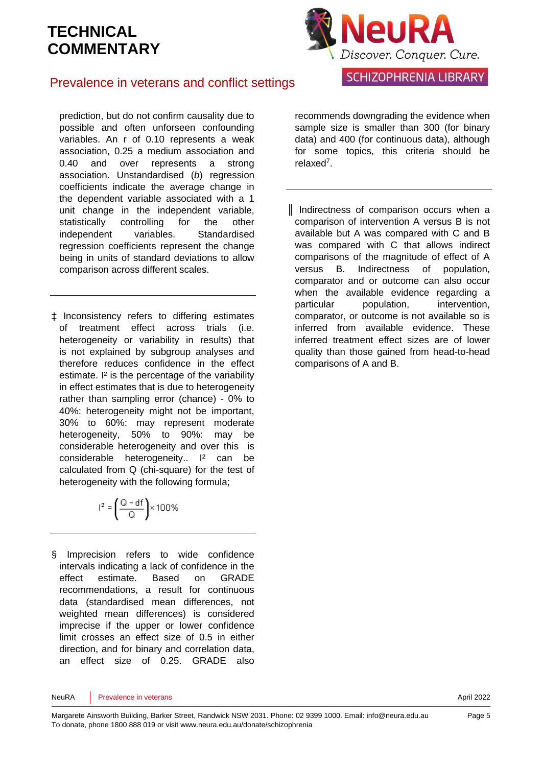

**SCHIZOPHRENIA LIBRARY** 

### Prevalence in veterans and conflict settings

prediction, but do not confirm causality due to possible and often unforseen confounding variables. An r of 0.10 represents a weak association, 0.25 a medium association and 0.40 and over represents a strong association. Unstandardised (*b*) regression coefficients indicate the average change in the dependent variable associated with a 1 unit change in the independent variable, statistically controlling for the other independent variables. Standardised regression coefficients represent the change being in units of standard deviations to allow comparison across different scales.

‡ Inconsistency refers to differing estimates of treatment effect across trials (i.e. heterogeneity or variability in results) that is not explained by subgroup analyses and therefore reduces confidence in the effect estimate. I² is the percentage of the variability in effect estimates that is due to heterogeneity rather than sampling error (chance) - 0% to 40%: heterogeneity might not be important, 30% to 60%: may represent moderate heterogeneity, 50% to 90%: may be considerable heterogeneity and over this is considerable heterogeneity.. I<sup>2</sup> can be calculated from Q (chi-square) for the test of heterogeneity with the following formula;

$$
I^2 = \left(\frac{Q - df}{Q}\right) \times 100\%
$$

§ Imprecision refers to wide confidence intervals indicating a lack of confidence in the effect estimate. Based on GRADE recommendations, a result for continuous data (standardised mean differences, not weighted mean differences) is considered imprecise if the upper or lower confidence limit crosses an effect size of 0.5 in either direction, and for binary and correlation data, an effect size of 0.25. GRADE also

recommends downgrading the evidence when sample size is smaller than 300 (for binary data) and 400 (for continuous data), although for some topics, this criteria should be relaxe[d](#page-5-6)<sup>7</sup> .

║ Indirectness of comparison occurs when a comparison of intervention A versus B is not available but A was compared with C and B was compared with C that allows indirect comparisons of the magnitude of effect of A versus B. Indirectness of population, comparator and or outcome can also occur when the available evidence regarding a particular population, intervention, comparator, or outcome is not available so is inferred from available evidence. These inferred treatment effect sizes are of lower quality than those gained from head-to-head comparisons of A and B.

NeuRA Prevalence in veterans **April 2022**